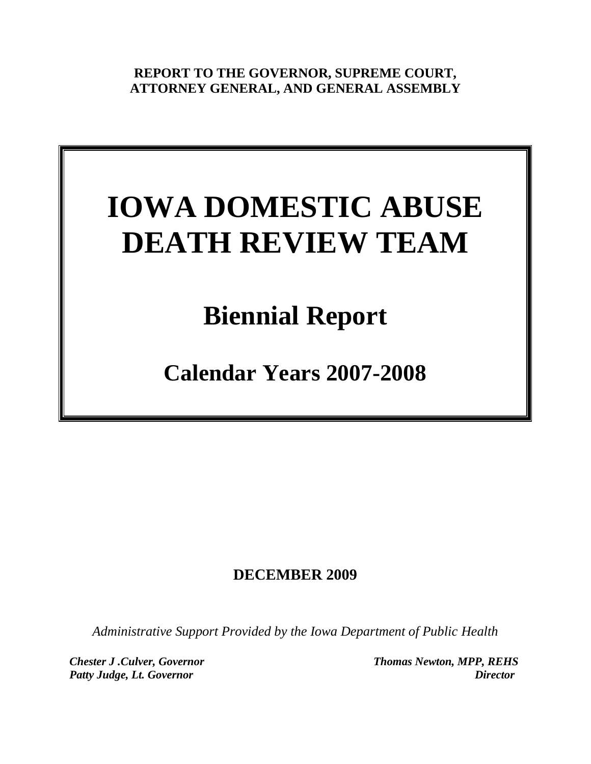**REPORT TO THE GOVERNOR, SUPREME COURT, ATTORNEY GENERAL, AND GENERAL ASSEMBLY**

# **IOWA DOMESTIC ABUSE DEATH REVIEW TEAM**

# **Biennial Report**

**Calendar Years 2007-2008**

# **DECEMBER 2009**

*Administrative Support Provided by the Iowa Department of Public Health*

*Chester J .Culver, Governor Thomas Newton, MPP, REHS* Patty Judge, Lt. Governor **Director**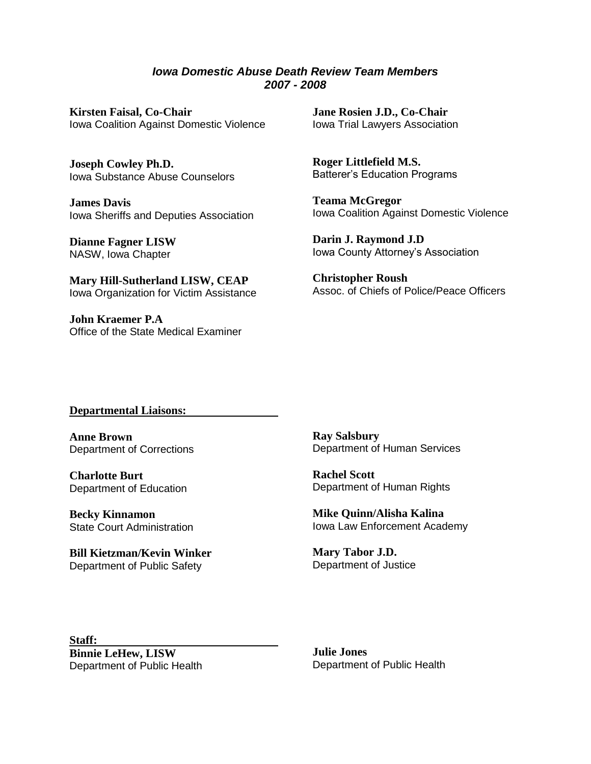*Iowa Domestic Abuse Death Review Team Members 2007 - 2008*

**Kirsten Faisal, Co-Chair** Iowa Coalition Against Domestic Violence

**Joseph Cowley Ph.D.** Iowa Substance Abuse Counselors

**James Davis** Iowa Sheriffs and Deputies Association

**Dianne Fagner LISW** NASW, Iowa Chapter

**Mary Hill-Sutherland LISW, CEAP** Iowa Organization for Victim Assistance

**John Kraemer P.A** Office of the State Medical Examiner **Jane Rosien J.D., Co-Chair** Iowa Trial Lawyers Association

**Roger Littlefield M.S.** Batterer's Education Programs

**Teama McGregor** Iowa Coalition Against Domestic Violence

**Darin J. Raymond J.D** Iowa County Attorney's Association

**Christopher Roush** Assoc. of Chiefs of Police/Peace Officers

#### **Departmental Liaisons:**

**Anne Brown** Department of Corrections

**Charlotte Burt** Department of Education

**Becky Kinnamon** State Court Administration

**Bill Kietzman/Kevin Winker** Department of Public Safety

**Ray Salsbury** Department of Human Services

**Rachel Scott** Department of Human Rights

**Mike Quinn/Alisha Kalina** Iowa Law Enforcement Academy

**Mary Tabor J.D.** Department of Justice

**Staff: Binnie LeHew, LISW** Department of Public Health

**Julie Jones** Department of Public Health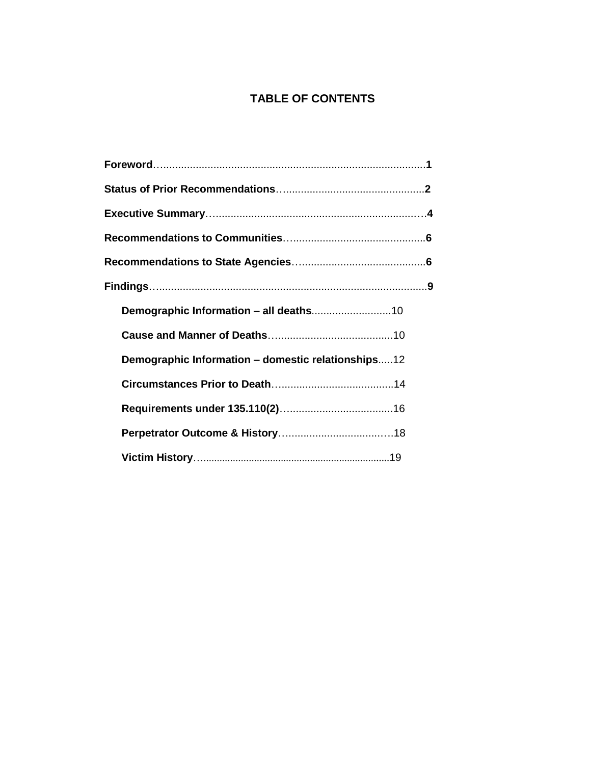# **TABLE OF CONTENTS**

| Demographic Information - domestic relationships12 |  |
|----------------------------------------------------|--|
|                                                    |  |
|                                                    |  |
|                                                    |  |
|                                                    |  |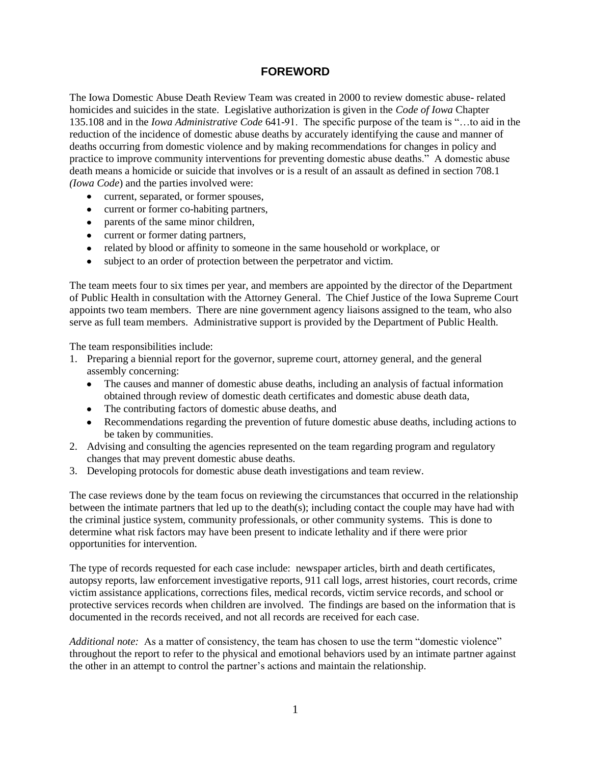#### **FOREWORD**

The Iowa Domestic Abuse Death Review Team was created in 2000 to review domestic abuse- related homicides and suicides in the state. Legislative authorization is given in the *Code of Iowa* Chapter 135.108 and in the *Iowa Administrative Code* 641-91. The specific purpose of the team is "…to aid in the reduction of the incidence of domestic abuse deaths by accurately identifying the cause and manner of deaths occurring from domestic violence and by making recommendations for changes in policy and practice to improve community interventions for preventing domestic abuse deaths." A domestic abuse death means a homicide or suicide that involves or is a result of an assault as defined in section 708.1 *(Iowa Code*) and the parties involved were:

- current, separated, or former spouses,
- current or former co-habiting partners,
- parents of the same minor children,
- current or former dating partners,
- related by blood or affinity to someone in the same household or workplace, or
- subject to an order of protection between the perpetrator and victim.  $\bullet$

The team meets four to six times per year, and members are appointed by the director of the Department of Public Health in consultation with the Attorney General. The Chief Justice of the Iowa Supreme Court appoints two team members. There are nine government agency liaisons assigned to the team, who also serve as full team members. Administrative support is provided by the Department of Public Health.

The team responsibilities include:

- 1. Preparing a biennial report for the governor, supreme court, attorney general, and the general assembly concerning:
	- The causes and manner of domestic abuse deaths, including an analysis of factual information  $\bullet$ obtained through review of domestic death certificates and domestic abuse death data,
	- The contributing factors of domestic abuse deaths, and
	- Recommendations regarding the prevention of future domestic abuse deaths, including actions to be taken by communities.
- 2. Advising and consulting the agencies represented on the team regarding program and regulatory changes that may prevent domestic abuse deaths.
- 3. Developing protocols for domestic abuse death investigations and team review.

The case reviews done by the team focus on reviewing the circumstances that occurred in the relationship between the intimate partners that led up to the death(s); including contact the couple may have had with the criminal justice system, community professionals, or other community systems. This is done to determine what risk factors may have been present to indicate lethality and if there were prior opportunities for intervention.

The type of records requested for each case include: newspaper articles, birth and death certificates, autopsy reports, law enforcement investigative reports, 911 call logs, arrest histories, court records, crime victim assistance applications, corrections files, medical records, victim service records, and school or protective services records when children are involved. The findings are based on the information that is documented in the records received, and not all records are received for each case.

*Additional note:* As a matter of consistency, the team has chosen to use the term "domestic violence" throughout the report to refer to the physical and emotional behaviors used by an intimate partner against the other in an attempt to control the partner's actions and maintain the relationship.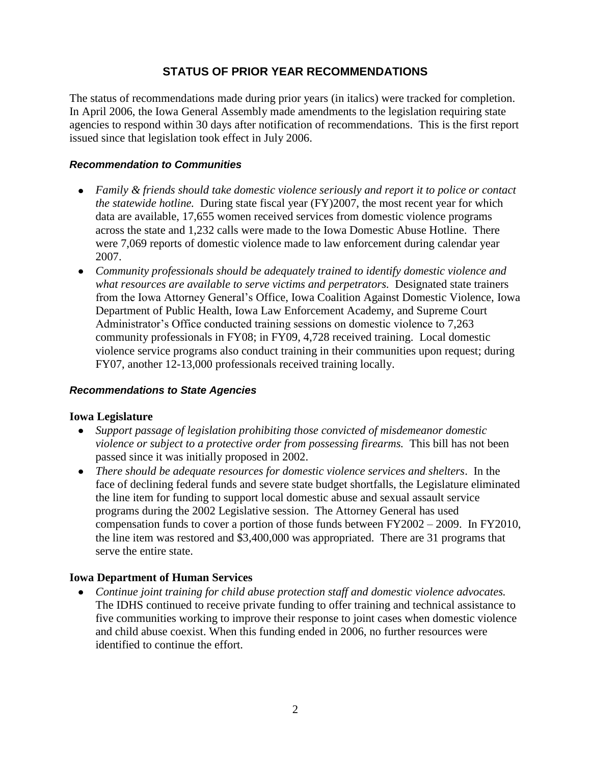#### **STATUS OF PRIOR YEAR RECOMMENDATIONS**

The status of recommendations made during prior years (in italics) were tracked for completion. In April 2006, the Iowa General Assembly made amendments to the legislation requiring state agencies to respond within 30 days after notification of recommendations. This is the first report issued since that legislation took effect in July 2006.

#### *Recommendation to Communities*

- *Family & friends should take domestic violence seriously and report it to police or contact the statewide hotline.* During state fiscal year (FY)2007, the most recent year for which data are available, 17,655 women received services from domestic violence programs across the state and 1,232 calls were made to the Iowa Domestic Abuse Hotline. There were 7,069 reports of domestic violence made to law enforcement during calendar year 2007.
- *Community professionals should be adequately trained to identify domestic violence and what resources are available to serve victims and perpetrators.* Designated state trainers from the Iowa Attorney General's Office, Iowa Coalition Against Domestic Violence, Iowa Department of Public Health, Iowa Law Enforcement Academy, and Supreme Court Administrator's Office conducted training sessions on domestic violence to 7,263 community professionals in FY08; in FY09, 4,728 received training. Local domestic violence service programs also conduct training in their communities upon request; during FY07, another 12-13,000 professionals received training locally.

#### *Recommendations to State Agencies*

#### **Iowa Legislature**

- *Support passage of legislation prohibiting those convicted of misdemeanor domestic violence or subject to a protective order from possessing firearms.* This bill has not been passed since it was initially proposed in 2002.
- *There should be adequate resources for domestic violence services and shelters*. In the face of declining federal funds and severe state budget shortfalls, the Legislature eliminated the line item for funding to support local domestic abuse and sexual assault service programs during the 2002 Legislative session. The Attorney General has used compensation funds to cover a portion of those funds between FY2002 – 2009. In FY2010, the line item was restored and \$3,400,000 was appropriated. There are 31 programs that serve the entire state.

#### **Iowa Department of Human Services**

*Continue joint training for child abuse protection staff and domestic violence advocates.* The IDHS continued to receive private funding to offer training and technical assistance to five communities working to improve their response to joint cases when domestic violence and child abuse coexist. When this funding ended in 2006, no further resources were identified to continue the effort.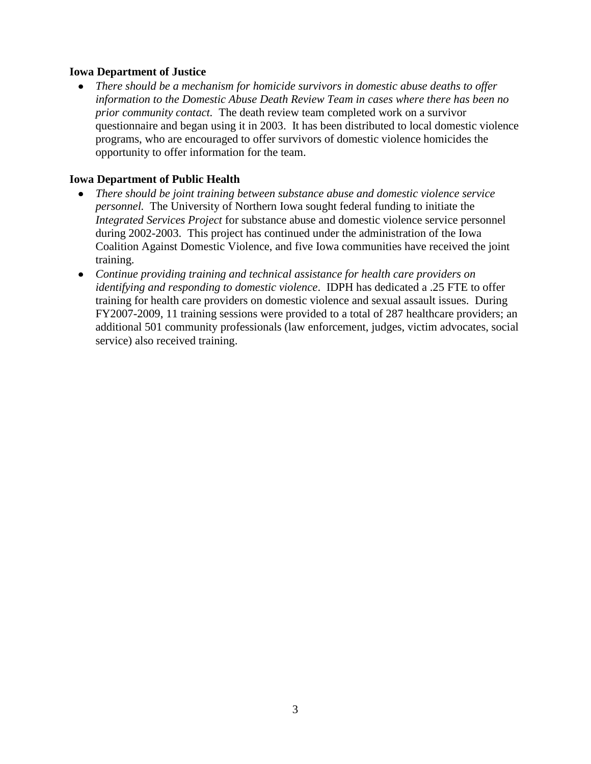#### **Iowa Department of Justice**

*There should be a mechanism for homicide survivors in domestic abuse deaths to offer information to the Domestic Abuse Death Review Team in cases where there has been no prior community contact.* The death review team completed work on a survivor questionnaire and began using it in 2003. It has been distributed to local domestic violence programs, who are encouraged to offer survivors of domestic violence homicides the opportunity to offer information for the team.

#### **Iowa Department of Public Health**

- *There should be joint training between substance abuse and domestic violence service personnel.* The University of Northern Iowa sought federal funding to initiate the *Integrated Services Project* for substance abuse and domestic violence service personnel during 2002-2003. This project has continued under the administration of the Iowa Coalition Against Domestic Violence, and five Iowa communities have received the joint training.
- *Continue providing training and technical assistance for health care providers on identifying and responding to domestic violence*. IDPH has dedicated a .25 FTE to offer training for health care providers on domestic violence and sexual assault issues. During FY2007-2009, 11 training sessions were provided to a total of 287 healthcare providers; an additional 501 community professionals (law enforcement, judges, victim advocates, social service) also received training.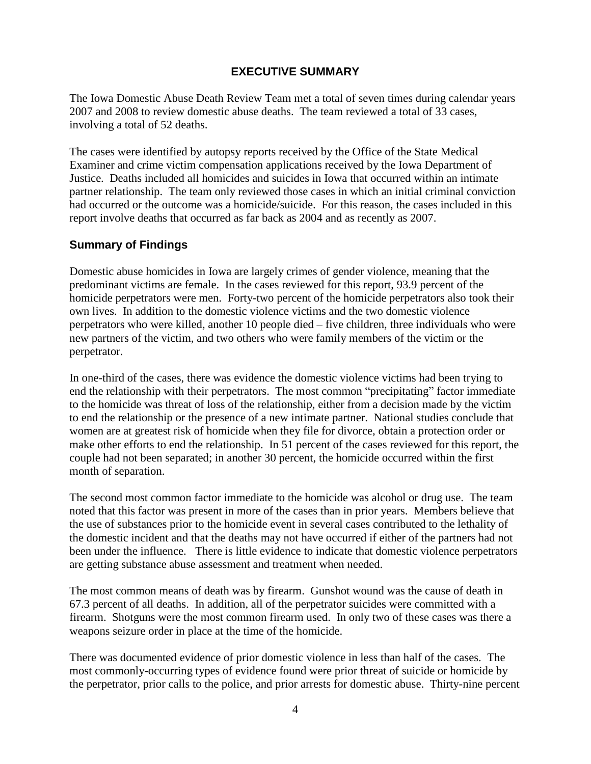#### **EXECUTIVE SUMMARY**

The Iowa Domestic Abuse Death Review Team met a total of seven times during calendar years 2007 and 2008 to review domestic abuse deaths. The team reviewed a total of 33 cases, involving a total of 52 deaths.

The cases were identified by autopsy reports received by the Office of the State Medical Examiner and crime victim compensation applications received by the Iowa Department of Justice. Deaths included all homicides and suicides in Iowa that occurred within an intimate partner relationship. The team only reviewed those cases in which an initial criminal conviction had occurred or the outcome was a homicide/suicide. For this reason, the cases included in this report involve deaths that occurred as far back as 2004 and as recently as 2007.

#### **Summary of Findings**

Domestic abuse homicides in Iowa are largely crimes of gender violence, meaning that the predominant victims are female. In the cases reviewed for this report, 93.9 percent of the homicide perpetrators were men. Forty-two percent of the homicide perpetrators also took their own lives. In addition to the domestic violence victims and the two domestic violence perpetrators who were killed, another 10 people died – five children, three individuals who were new partners of the victim, and two others who were family members of the victim or the perpetrator.

In one-third of the cases, there was evidence the domestic violence victims had been trying to end the relationship with their perpetrators. The most common "precipitating" factor immediate to the homicide was threat of loss of the relationship, either from a decision made by the victim to end the relationship or the presence of a new intimate partner. National studies conclude that women are at greatest risk of homicide when they file for divorce, obtain a protection order or make other efforts to end the relationship. In 51 percent of the cases reviewed for this report, the couple had not been separated; in another 30 percent, the homicide occurred within the first month of separation.

The second most common factor immediate to the homicide was alcohol or drug use. The team noted that this factor was present in more of the cases than in prior years. Members believe that the use of substances prior to the homicide event in several cases contributed to the lethality of the domestic incident and that the deaths may not have occurred if either of the partners had not been under the influence. There is little evidence to indicate that domestic violence perpetrators are getting substance abuse assessment and treatment when needed.

The most common means of death was by firearm. Gunshot wound was the cause of death in 67.3 percent of all deaths. In addition, all of the perpetrator suicides were committed with a firearm. Shotguns were the most common firearm used. In only two of these cases was there a weapons seizure order in place at the time of the homicide.

There was documented evidence of prior domestic violence in less than half of the cases. The most commonly-occurring types of evidence found were prior threat of suicide or homicide by the perpetrator, prior calls to the police, and prior arrests for domestic abuse. Thirty-nine percent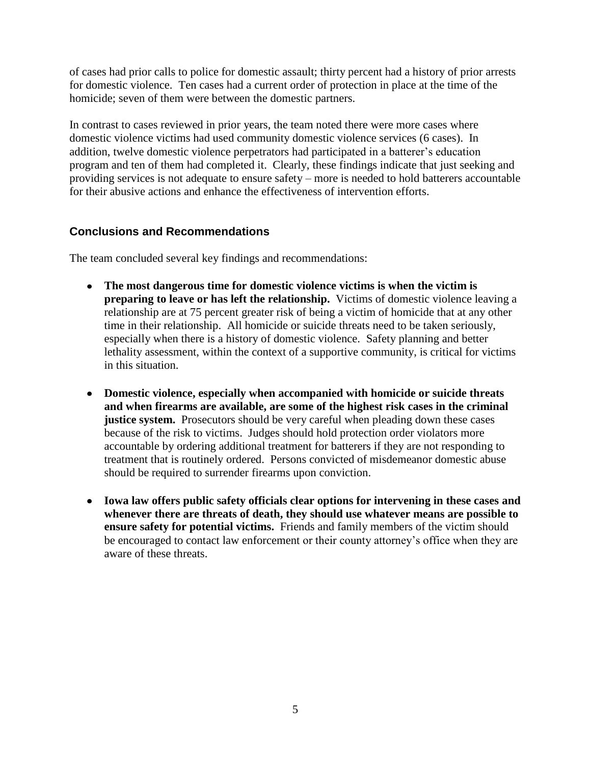of cases had prior calls to police for domestic assault; thirty percent had a history of prior arrests for domestic violence. Ten cases had a current order of protection in place at the time of the homicide; seven of them were between the domestic partners.

In contrast to cases reviewed in prior years, the team noted there were more cases where domestic violence victims had used community domestic violence services (6 cases). In addition, twelve domestic violence perpetrators had participated in a batterer's education program and ten of them had completed it. Clearly, these findings indicate that just seeking and providing services is not adequate to ensure safety – more is needed to hold batterers accountable for their abusive actions and enhance the effectiveness of intervention efforts.

#### **Conclusions and Recommendations**

The team concluded several key findings and recommendations:

- **The most dangerous time for domestic violence victims is when the victim is preparing to leave or has left the relationship.** Victims of domestic violence leaving a relationship are at 75 percent greater risk of being a victim of homicide that at any other time in their relationship. All homicide or suicide threats need to be taken seriously, especially when there is a history of domestic violence. Safety planning and better lethality assessment, within the context of a supportive community, is critical for victims in this situation.
- **Domestic violence, especially when accompanied with homicide or suicide threats and when firearms are available, are some of the highest risk cases in the criminal justice system.** Prosecutors should be very careful when pleading down these cases because of the risk to victims. Judges should hold protection order violators more accountable by ordering additional treatment for batterers if they are not responding to treatment that is routinely ordered. Persons convicted of misdemeanor domestic abuse should be required to surrender firearms upon conviction.
- **Iowa law offers public safety officials clear options for intervening in these cases and whenever there are threats of death, they should use whatever means are possible to ensure safety for potential victims.** Friends and family members of the victim should be encouraged to contact law enforcement or their county attorney's office when they are aware of these threats.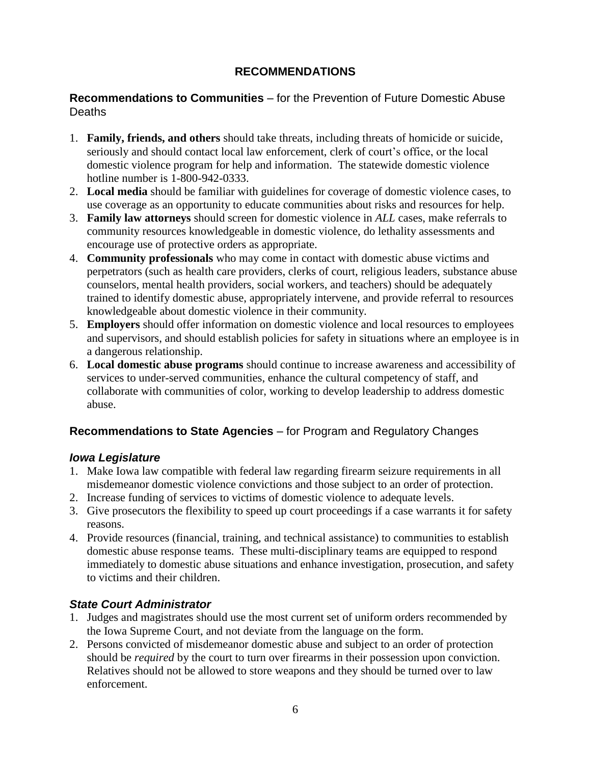# **RECOMMENDATIONS**

#### **Recommendations to Communities** – for the Prevention of Future Domestic Abuse Deaths

- 1. **Family, friends, and others** should take threats, including threats of homicide or suicide, seriously and should contact local law enforcement, clerk of court's office, or the local domestic violence program for help and information. The statewide domestic violence hotline number is 1-800-942-0333.
- 2. **Local media** should be familiar with guidelines for coverage of domestic violence cases, to use coverage as an opportunity to educate communities about risks and resources for help.
- 3. **Family law attorneys** should screen for domestic violence in *ALL* cases, make referrals to community resources knowledgeable in domestic violence, do lethality assessments and encourage use of protective orders as appropriate.
- 4. **Community professionals** who may come in contact with domestic abuse victims and perpetrators (such as health care providers, clerks of court, religious leaders, substance abuse counselors, mental health providers, social workers, and teachers) should be adequately trained to identify domestic abuse, appropriately intervene, and provide referral to resources knowledgeable about domestic violence in their community.
- 5. **Employers** should offer information on domestic violence and local resources to employees and supervisors, and should establish policies for safety in situations where an employee is in a dangerous relationship.
- 6. **Local domestic abuse programs** should continue to increase awareness and accessibility of services to under-served communities, enhance the cultural competency of staff, and collaborate with communities of color, working to develop leadership to address domestic abuse.

# **Recommendations to State Agencies** – for Program and Regulatory Changes

# *Iowa Legislature*

- 1. Make Iowa law compatible with federal law regarding firearm seizure requirements in all misdemeanor domestic violence convictions and those subject to an order of protection.
- 2. Increase funding of services to victims of domestic violence to adequate levels.
- 3. Give prosecutors the flexibility to speed up court proceedings if a case warrants it for safety reasons.
- 4. Provide resources (financial, training, and technical assistance) to communities to establish domestic abuse response teams. These multi-disciplinary teams are equipped to respond immediately to domestic abuse situations and enhance investigation, prosecution, and safety to victims and their children.

# *State Court Administrator*

- 1. Judges and magistrates should use the most current set of uniform orders recommended by the Iowa Supreme Court, and not deviate from the language on the form.
- 2. Persons convicted of misdemeanor domestic abuse and subject to an order of protection should be *required* by the court to turn over firearms in their possession upon conviction. Relatives should not be allowed to store weapons and they should be turned over to law enforcement.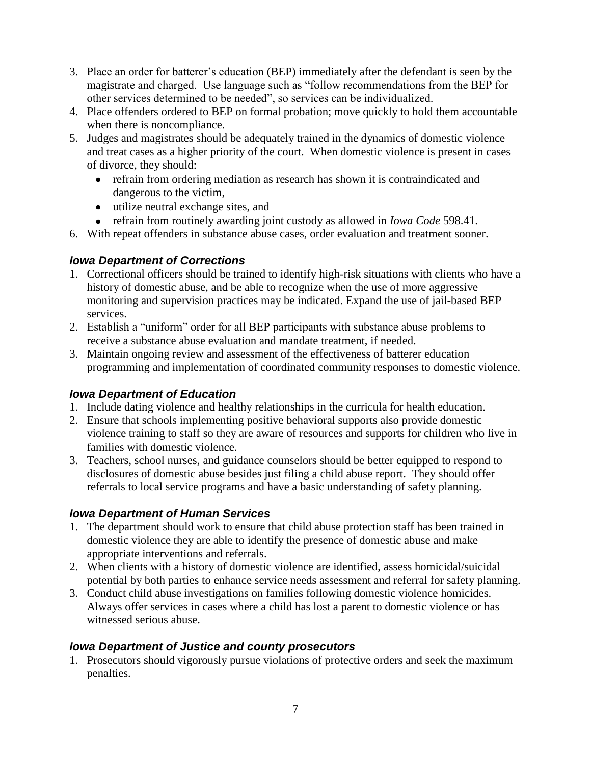- 3. Place an order for batterer's education (BEP) immediately after the defendant is seen by the magistrate and charged. Use language such as "follow recommendations from the BEP for other services determined to be needed", so services can be individualized.
- 4. Place offenders ordered to BEP on formal probation; move quickly to hold them accountable when there is noncompliance.
- 5. Judges and magistrates should be adequately trained in the dynamics of domestic violence and treat cases as a higher priority of the court. When domestic violence is present in cases of divorce, they should:
	- refrain from ordering mediation as research has shown it is contraindicated and dangerous to the victim,
	- utilize neutral exchange sites, and
	- refrain from routinely awarding joint custody as allowed in *Iowa Code* 598.41.
- 6. With repeat offenders in substance abuse cases, order evaluation and treatment sooner.

# *Iowa Department of Corrections*

- 1. Correctional officers should be trained to identify high-risk situations with clients who have a history of domestic abuse, and be able to recognize when the use of more aggressive monitoring and supervision practices may be indicated. Expand the use of jail-based BEP services.
- 2. Establish a "uniform" order for all BEP participants with substance abuse problems to receive a substance abuse evaluation and mandate treatment, if needed.
- 3. Maintain ongoing review and assessment of the effectiveness of batterer education programming and implementation of coordinated community responses to domestic violence.

# *Iowa Department of Education*

- 1. Include dating violence and healthy relationships in the curricula for health education.
- 2. Ensure that schools implementing positive behavioral supports also provide domestic violence training to staff so they are aware of resources and supports for children who live in families with domestic violence.
- 3. Teachers, school nurses, and guidance counselors should be better equipped to respond to disclosures of domestic abuse besides just filing a child abuse report. They should offer referrals to local service programs and have a basic understanding of safety planning.

# *Iowa Department of Human Services*

- 1. The department should work to ensure that child abuse protection staff has been trained in domestic violence they are able to identify the presence of domestic abuse and make appropriate interventions and referrals.
- 2. When clients with a history of domestic violence are identified, assess homicidal/suicidal potential by both parties to enhance service needs assessment and referral for safety planning.
- 3. Conduct child abuse investigations on families following domestic violence homicides. Always offer services in cases where a child has lost a parent to domestic violence or has witnessed serious abuse.

# *Iowa Department of Justice and county prosecutors*

1. Prosecutors should vigorously pursue violations of protective orders and seek the maximum penalties.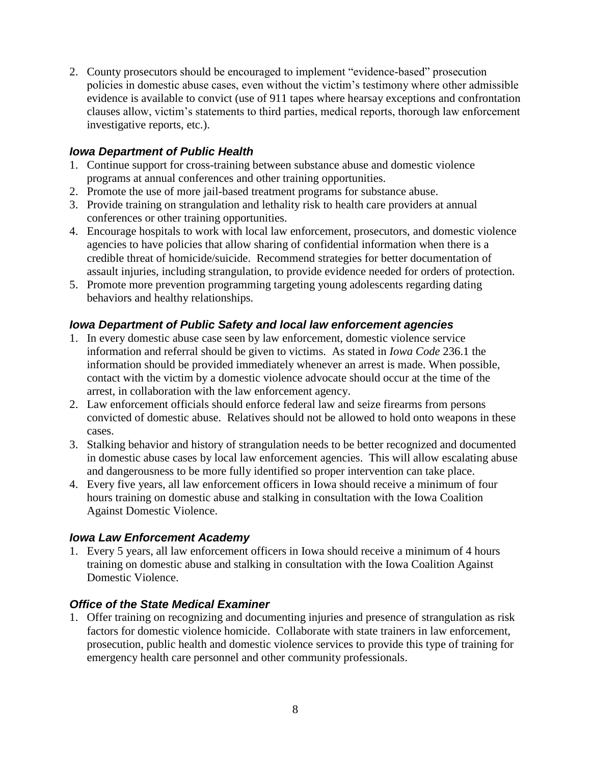2. County prosecutors should be encouraged to implement "evidence-based" prosecution policies in domestic abuse cases, even without the victim's testimony where other admissible evidence is available to convict (use of 911 tapes where hearsay exceptions and confrontation clauses allow, victim's statements to third parties, medical reports, thorough law enforcement investigative reports, etc.).

#### *Iowa Department of Public Health*

- 1. Continue support for cross-training between substance abuse and domestic violence programs at annual conferences and other training opportunities.
- 2. Promote the use of more jail-based treatment programs for substance abuse.
- 3. Provide training on strangulation and lethality risk to health care providers at annual conferences or other training opportunities.
- 4. Encourage hospitals to work with local law enforcement, prosecutors, and domestic violence agencies to have policies that allow sharing of confidential information when there is a credible threat of homicide/suicide. Recommend strategies for better documentation of assault injuries, including strangulation, to provide evidence needed for orders of protection.
- 5. Promote more prevention programming targeting young adolescents regarding dating behaviors and healthy relationships.

# *Iowa Department of Public Safety and local law enforcement agencies*

- 1. In every domestic abuse case seen by law enforcement, domestic violence service information and referral should be given to victims. As stated in *Iowa Code* 236.1 the information should be provided immediately whenever an arrest is made. When possible, contact with the victim by a domestic violence advocate should occur at the time of the arrest, in collaboration with the law enforcement agency.
- 2. Law enforcement officials should enforce federal law and seize firearms from persons convicted of domestic abuse. Relatives should not be allowed to hold onto weapons in these cases.
- 3. Stalking behavior and history of strangulation needs to be better recognized and documented in domestic abuse cases by local law enforcement agencies. This will allow escalating abuse and dangerousness to be more fully identified so proper intervention can take place.
- 4. Every five years, all law enforcement officers in Iowa should receive a minimum of four hours training on domestic abuse and stalking in consultation with the Iowa Coalition Against Domestic Violence.

#### *Iowa Law Enforcement Academy*

1. Every 5 years, all law enforcement officers in Iowa should receive a minimum of 4 hours training on domestic abuse and stalking in consultation with the Iowa Coalition Against Domestic Violence.

#### *Office of the State Medical Examiner*

1. Offer training on recognizing and documenting injuries and presence of strangulation as risk factors for domestic violence homicide. Collaborate with state trainers in law enforcement, prosecution, public health and domestic violence services to provide this type of training for emergency health care personnel and other community professionals.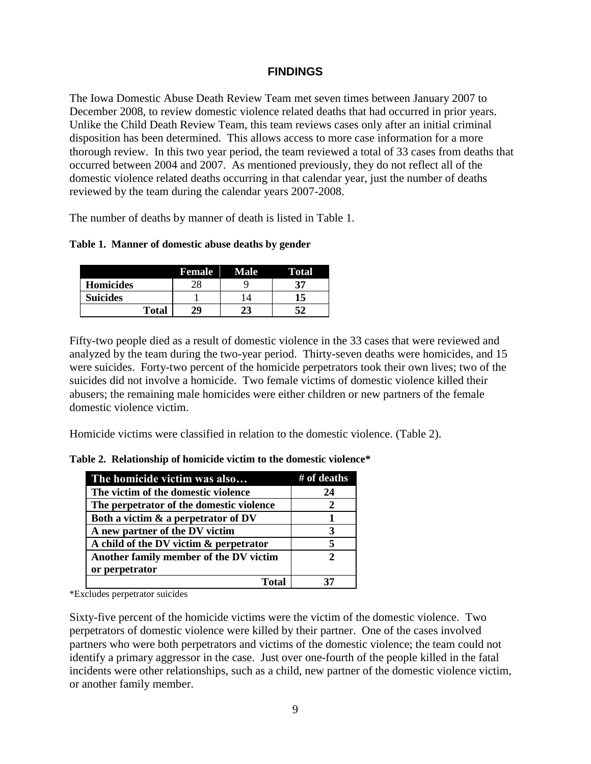#### **FINDINGS**

The Iowa Domestic Abuse Death Review Team met seven times between January 2007 to December 2008, to review domestic violence related deaths that had occurred in prior years. Unlike the Child Death Review Team, this team reviews cases only after an initial criminal disposition has been determined. This allows access to more case information for a more thorough review. In this two year period, the team reviewed a total of 33 cases from deaths that occurred between 2004 and 2007. As mentioned previously, they do not reflect all of the domestic violence related deaths occurring in that calendar year, just the number of deaths reviewed by the team during the calendar years 2007-2008.

The number of deaths by manner of death is listed in Table 1.

|  |  | Table 1. Manner of domestic abuse deaths by gender |  |  |  |  |
|--|--|----------------------------------------------------|--|--|--|--|
|--|--|----------------------------------------------------|--|--|--|--|

|                  | Female | <b>Male</b> | Total |
|------------------|--------|-------------|-------|
| <b>Homicides</b> |        |             | 37    |
| <b>Suicides</b>  |        |             |       |
| <b>Total</b>     | 29     | 23          | 51    |

Fifty-two people died as a result of domestic violence in the 33 cases that were reviewed and analyzed by the team during the two-year period. Thirty-seven deaths were homicides, and 15 were suicides. Forty-two percent of the homicide perpetrators took their own lives; two of the suicides did not involve a homicide. Two female victims of domestic violence killed their abusers; the remaining male homicides were either children or new partners of the female domestic violence victim.

Homicide victims were classified in relation to the domestic violence. (Table 2).

| The homicide victim was also             | # of deaths |
|------------------------------------------|-------------|
| The victim of the domestic violence      | 24          |
| The perpetrator of the domestic violence |             |
| Both a victim & a perpetrator of DV      |             |
| A new partner of the DV victim           | 3           |
| A child of the DV victim & perpetrator   | 5           |
| Another family member of the DV victim   | 2           |
| or perpetrator                           |             |
| Total                                    |             |

**Table 2. Relationship of homicide victim to the domestic violence\***

\*Excludes perpetrator suicides

Sixty-five percent of the homicide victims were the victim of the domestic violence. Two perpetrators of domestic violence were killed by their partner. One of the cases involved partners who were both perpetrators and victims of the domestic violence; the team could not identify a primary aggressor in the case. Just over one-fourth of the people killed in the fatal incidents were other relationships, such as a child, new partner of the domestic violence victim, or another family member.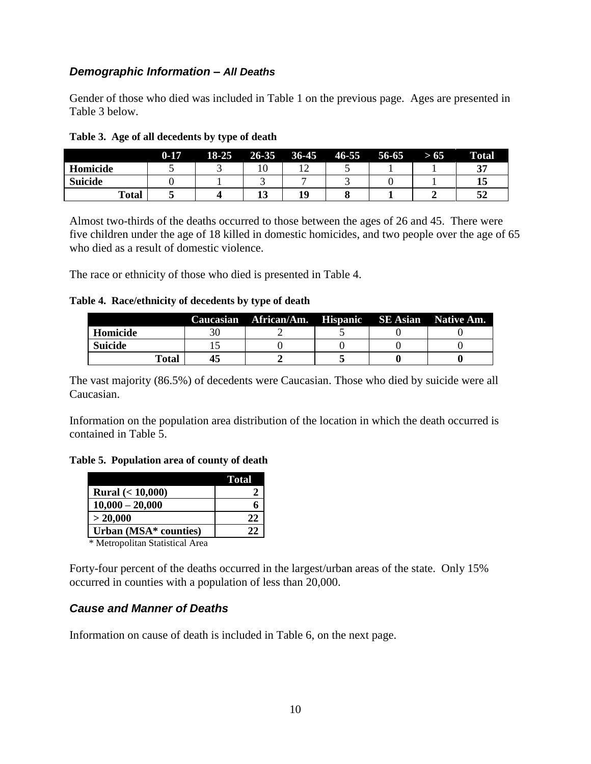#### *Demographic Information – All Deaths*

Gender of those who died was included in Table 1 on the previous page. Ages are presented in Table 3 below.

|                | $0-17$ | $18 - 25$ | 26-35 | $36-45$ | $46 - 55$ | $56 - 65$ | > 65 | <b>Total</b> |
|----------------|--------|-----------|-------|---------|-----------|-----------|------|--------------|
| Homicide       |        |           |       |         |           |           |      | 37           |
| <b>Suicide</b> |        |           |       |         |           |           |      | 13           |
| Total          |        |           | IJ    | 10      |           |           |      | 52           |

**Table 3. Age of all decedents by type of death**

Almost two-thirds of the deaths occurred to those between the ages of 26 and 45. There were five children under the age of 18 killed in domestic homicides, and two people over the age of 65 who died as a result of domestic violence.

The race or ethnicity of those who died is presented in Table 4.

**Table 4. Race/ethnicity of decedents by type of death**

|          |       | Caucasian African/Am. Hispanic SE Asian Native Am. |  |  |
|----------|-------|----------------------------------------------------|--|--|
| Homicide |       |                                                    |  |  |
| Suicide  |       |                                                    |  |  |
|          | Total |                                                    |  |  |

The vast majority (86.5%) of decedents were Caucasian. Those who died by suicide were all Caucasian.

Information on the population area distribution of the location in which the death occurred is contained in Table 5.

**Table 5. Population area of county of death**

|                           | <b>Total</b>  |
|---------------------------|---------------|
| <b>Rural</b> $(< 10,000)$ |               |
| $10,000 - 20,000$         |               |
| > 20,000                  | 22            |
| Urban (MSA* counties)     | $\mathcal{L}$ |

\* Metropolitan Statistical Area

Forty-four percent of the deaths occurred in the largest/urban areas of the state. Only 15% occurred in counties with a population of less than 20,000.

# *Cause and Manner of Deaths*

Information on cause of death is included in Table 6, on the next page.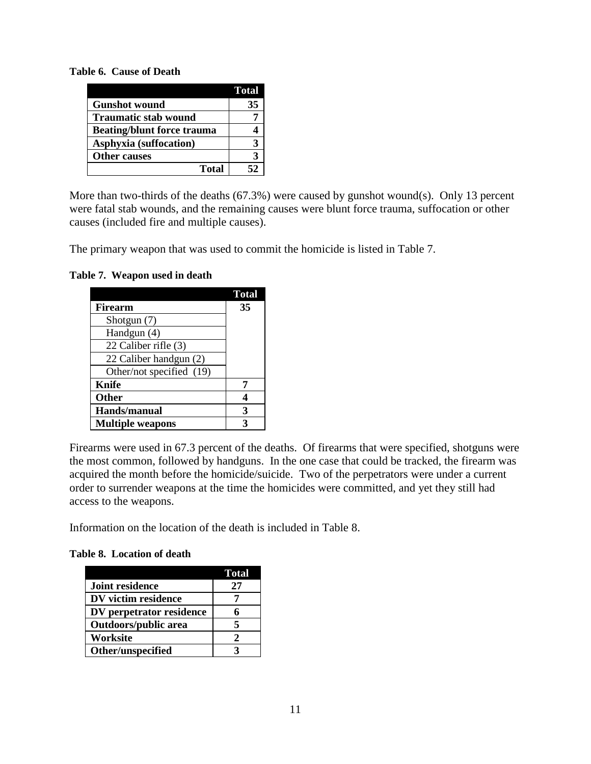**Table 6. Cause of Death** 

|                                   | <b>Total</b> |
|-----------------------------------|--------------|
| <b>Gunshot wound</b>              | 35           |
| <b>Traumatic stab wound</b>       |              |
| <b>Beating/blunt force trauma</b> |              |
| Asphyxia (suffocation)            | 3            |
| <b>Other causes</b>               | 3            |
| <b>Total</b>                      | 52           |

More than two-thirds of the deaths (67.3%) were caused by gunshot wound(s). Only 13 percent were fatal stab wounds, and the remaining causes were blunt force trauma, suffocation or other causes (included fire and multiple causes).

The primary weapon that was used to commit the homicide is listed in Table 7.

**Table 7. Weapon used in death** 

|                          | <b>Total</b> |
|--------------------------|--------------|
| Firearm                  | 35           |
| Shotgun (7)              |              |
| Handgun (4)              |              |
| 22 Caliber rifle (3)     |              |
| 22 Caliber handgun (2)   |              |
| Other/not specified (19) |              |
| <b>Knife</b>             |              |
| <b>Other</b>             |              |
| Hands/manual             | 3            |
| <b>Multiple weapons</b>  | 2            |

Firearms were used in 67.3 percent of the deaths. Of firearms that were specified, shotguns were the most common, followed by handguns. In the one case that could be tracked, the firearm was acquired the month before the homicide/suicide. Two of the perpetrators were under a current order to surrender weapons at the time the homicides were committed, and yet they still had access to the weapons.

Information on the location of the death is included in Table 8.

**Table 8. Location of death** 

|                             | <b>Total</b> |
|-----------------------------|--------------|
| <b>Joint residence</b>      | 27           |
| DV victim residence         |              |
| DV perpetrator residence    | 6            |
| <b>Outdoors/public area</b> | 5            |
| Worksite                    | 2            |
| Other/unspecified           |              |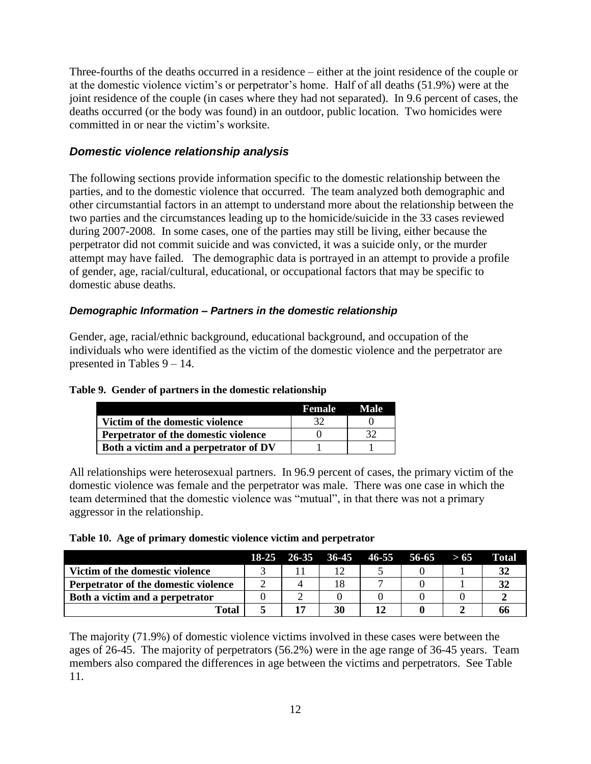Three-fourths of the deaths occurred in a residence – either at the joint residence of the couple or at the domestic violence victim's or perpetrator's home. Half of all deaths (51.9%) were at the joint residence of the couple (in cases where they had not separated). In 9.6 percent of cases, the deaths occurred (or the body was found) in an outdoor, public location. Two homicides were committed in or near the victim's worksite.

#### *Domestic violence relationship analysis*

The following sections provide information specific to the domestic relationship between the parties, and to the domestic violence that occurred. The team analyzed both demographic and other circumstantial factors in an attempt to understand more about the relationship between the two parties and the circumstances leading up to the homicide/suicide in the 33 cases reviewed during 2007-2008. In some cases, one of the parties may still be living, either because the perpetrator did not commit suicide and was convicted, it was a suicide only, or the murder attempt may have failed. The demographic data is portrayed in an attempt to provide a profile of gender, age, racial/cultural, educational, or occupational factors that may be specific to domestic abuse deaths.

#### *Demographic Information – Partners in the domestic relationship*

Gender, age, racial/ethnic background, educational background, and occupation of the individuals who were identified as the victim of the domestic violence and the perpetrator are presented in Tables 9 – 14.

#### **Table 9. Gender of partners in the domestic relationship**

|                                       | <b>Female</b> | Male |
|---------------------------------------|---------------|------|
| Victim of the domestic violence       |               |      |
| Perpetrator of the domestic violence  |               | 32   |
| Both a victim and a perpetrator of DV |               |      |

All relationships were heterosexual partners. In 96.9 percent of cases, the primary victim of the domestic violence was female and the perpetrator was male. There was one case in which the team determined that the domestic violence was "mutual", in that there was not a primary aggressor in the relationship.

|  |  |  |  |  |  |  | Table 10. Age of primary domestic violence victim and perpetrator |
|--|--|--|--|--|--|--|-------------------------------------------------------------------|
|--|--|--|--|--|--|--|-------------------------------------------------------------------|

|                                      |  |    | 18-25 26-35 36-45 46-55 56-65 | > 65 | Total |
|--------------------------------------|--|----|-------------------------------|------|-------|
| Victim of the domestic violence      |  | 12 |                               |      |       |
| Perpetrator of the domestic violence |  |    |                               |      |       |
| Both a victim and a perpetrator      |  |    |                               |      |       |
| Total                                |  | 30 |                               |      |       |

The majority (71.9%) of domestic violence victims involved in these cases were between the ages of 26-45. The majority of perpetrators (56.2%) were in the age range of 36-45 years. Team members also compared the differences in age between the victims and perpetrators. See Table 11.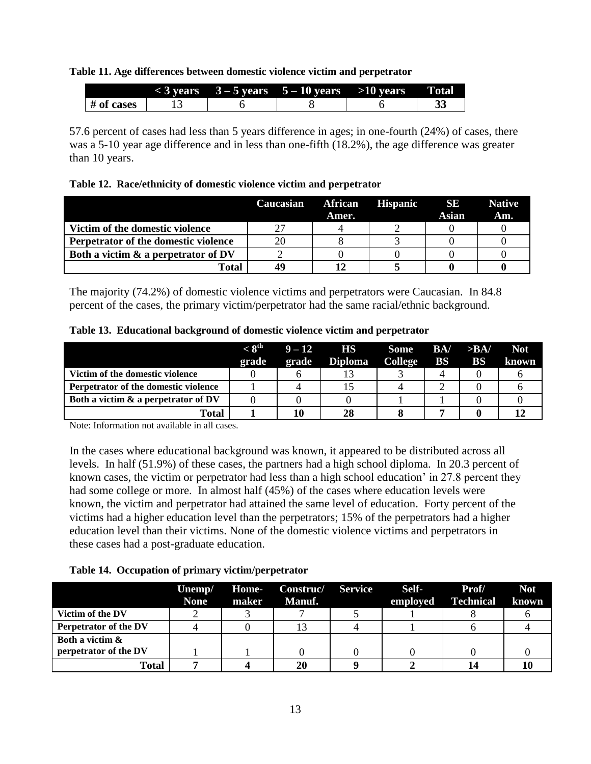#### **Table 11. Age differences between domestic violence victim and perpetrator**

|            | 3 vears | $3 - 5$ vears | $5-10$ years | $>10$ years | Fotal |
|------------|---------|---------------|--------------|-------------|-------|
| # of cases |         |               |              |             | .     |

57.6 percent of cases had less than 5 years difference in ages; in one-fourth (24%) of cases, there was a 5-10 year age difference and in less than one-fifth (18.2%), the age difference was greater than 10 years.

#### **Table 12. Race/ethnicity of domestic violence victim and perpetrator**

|                                        | <b>Caucasian</b> | <b>African</b><br>Amer. | <b>Hispanic</b> | SE.<br>Asian | <b>Native</b><br>Am. |
|----------------------------------------|------------------|-------------------------|-----------------|--------------|----------------------|
| Victim of the domestic violence        | 27               |                         |                 |              |                      |
| Perpetrator of the domestic violence   | 20               |                         |                 |              |                      |
| Both a victim $\&$ a perpetrator of DV |                  |                         |                 |              |                      |
| <b>Total</b>                           | 49               |                         |                 |              |                      |

The majority (74.2%) of domestic violence victims and perpetrators were Caucasian. In 84.8 percent of the cases, the primary victim/perpetrator had the same racial/ethnic background.

|  |  |  |  |  |  | Table 13. Educational background of domestic violence victim and perpetrator |
|--|--|--|--|--|--|------------------------------------------------------------------------------|
|--|--|--|--|--|--|------------------------------------------------------------------------------|

|                                        | $\sim$ $\mathbf{S}^{\text{th}}$ | $9 - 12$ | <b>HS</b>      | Some    | BA/       | >BA/      | <b>Not</b> |
|----------------------------------------|---------------------------------|----------|----------------|---------|-----------|-----------|------------|
|                                        | grade                           | grade    | <b>Diploma</b> | College | <b>BS</b> | <b>BS</b> | known      |
| Victim of the domestic violence        |                                 |          |                |         |           |           |            |
| Perpetrator of the domestic violence   |                                 |          |                |         |           |           |            |
| Both a victim $\&$ a perpetrator of DV |                                 |          |                |         |           |           |            |
| Total                                  |                                 |          | 28             |         |           |           |            |

Note: Information not available in all cases.

In the cases where educational background was known, it appeared to be distributed across all levels. In half (51.9%) of these cases, the partners had a high school diploma. In 20.3 percent of known cases, the victim or perpetrator had less than a high school education' in 27.8 percent they had some college or more. In almost half (45%) of the cases where education levels were known, the victim and perpetrator had attained the same level of education. Forty percent of the victims had a higher education level than the perpetrators; 15% of the perpetrators had a higher education level than their victims. None of the domestic violence victims and perpetrators in these cases had a post-graduate education.

**Table 14. Occupation of primary victim/perpetrator**

|                       | Unemp/      | Home- | Construc/     | <b>Service</b> | Self-    | Prof/            | <b>Not</b> |
|-----------------------|-------------|-------|---------------|----------------|----------|------------------|------------|
|                       | <b>None</b> | maker | <b>Manuf.</b> |                | employed | <b>Technical</b> | known      |
| Victim of the DV      |             |       |               |                |          |                  |            |
| Perpetrator of the DV |             |       |               |                |          |                  |            |
| Both a victim &       |             |       |               |                |          |                  |            |
| perpetrator of the DV |             |       |               |                |          |                  |            |
| Total                 |             |       |               |                |          |                  |            |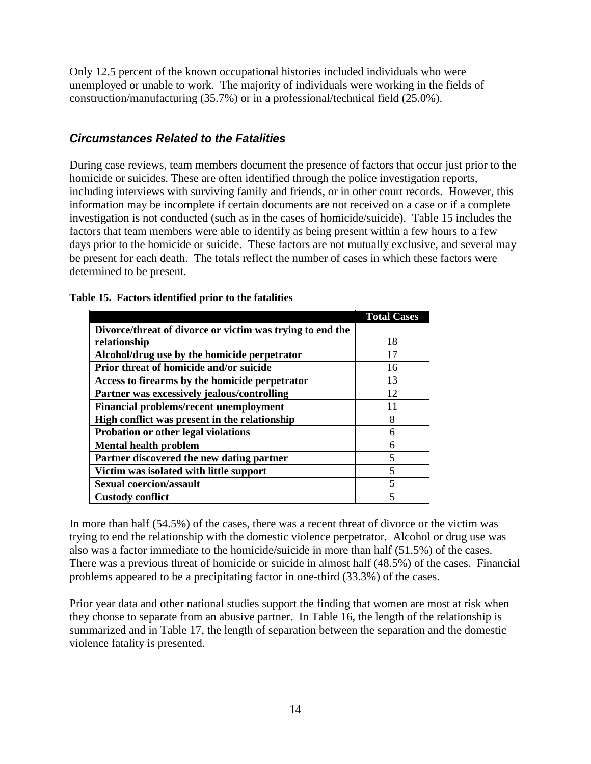Only 12.5 percent of the known occupational histories included individuals who were unemployed or unable to work. The majority of individuals were working in the fields of construction/manufacturing (35.7%) or in a professional/technical field (25.0%).

#### *Circumstances Related to the Fatalities*

During case reviews, team members document the presence of factors that occur just prior to the homicide or suicides. These are often identified through the police investigation reports, including interviews with surviving family and friends, or in other court records. However, this information may be incomplete if certain documents are not received on a case or if a complete investigation is not conducted (such as in the cases of homicide/suicide). Table 15 includes the factors that team members were able to identify as being present within a few hours to a few days prior to the homicide or suicide. These factors are not mutually exclusive, and several may be present for each death. The totals reflect the number of cases in which these factors were determined to be present.

|                                                           | <b>Total Cases</b> |
|-----------------------------------------------------------|--------------------|
| Divorce/threat of divorce or victim was trying to end the |                    |
| relationship                                              | 18                 |
| Alcohol/drug use by the homicide perpetrator              | 17                 |
| Prior threat of homicide and/or suicide                   | 16                 |
| Access to firearms by the homicide perpetrator            | 13                 |
| Partner was excessively jealous/controlling               | 12                 |
| <b>Financial problems/recent unemployment</b>             | 11                 |
| High conflict was present in the relationship             | 8                  |
| Probation or other legal violations                       | 6                  |
| <b>Mental health problem</b>                              | 6                  |
| Partner discovered the new dating partner                 | 5                  |
| Victim was isolated with little support                   | 5                  |
| <b>Sexual coercion/assault</b>                            | 5                  |
| <b>Custody conflict</b>                                   | 5                  |

#### **Table 15. Factors identified prior to the fatalities**

In more than half (54.5%) of the cases, there was a recent threat of divorce or the victim was trying to end the relationship with the domestic violence perpetrator. Alcohol or drug use was also was a factor immediate to the homicide/suicide in more than half (51.5%) of the cases. There was a previous threat of homicide or suicide in almost half (48.5%) of the cases. Financial problems appeared to be a precipitating factor in one-third (33.3%) of the cases.

Prior year data and other national studies support the finding that women are most at risk when they choose to separate from an abusive partner. In Table 16, the length of the relationship is summarized and in Table 17, the length of separation between the separation and the domestic violence fatality is presented.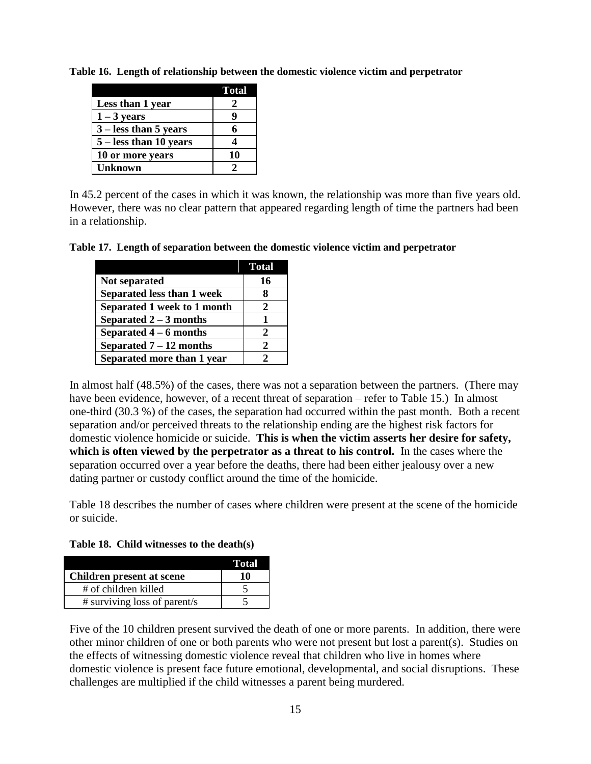|                          | <b>Total</b> |
|--------------------------|--------------|
| Less than 1 year         | 2            |
| $1 - 3$ years            | Q            |
| $3 -$ less than 5 years  | 6            |
| $5 -$ less than 10 years |              |
| 10 or more years         | 10           |
| <b>Unknown</b>           | 7            |

**Table 16. Length of relationship between the domestic violence victim and perpetrator**

In 45.2 percent of the cases in which it was known, the relationship was more than five years old. However, there was no clear pattern that appeared regarding length of time the partners had been in a relationship.

**Table 17. Length of separation between the domestic violence victim and perpetrator**

|                             | Total                       |
|-----------------------------|-----------------------------|
| Not separated               | 16                          |
| Separated less than 1 week  | 8                           |
| Separated 1 week to 1 month | $\mathcal{L}$               |
| Separated $2-3$ months      |                             |
| Separated $4-6$ months      | $\mathcal{D}_{\mathcal{L}}$ |
| Separated $7-12$ months     | 2                           |
| Separated more than 1 year  | 7                           |

In almost half (48.5%) of the cases, there was not a separation between the partners. (There may have been evidence, however, of a recent threat of separation – refer to Table 15.) In almost one-third (30.3 %) of the cases, the separation had occurred within the past month. Both a recent separation and/or perceived threats to the relationship ending are the highest risk factors for domestic violence homicide or suicide. **This is when the victim asserts her desire for safety, which is often viewed by the perpetrator as a threat to his control.** In the cases where the separation occurred over a year before the deaths, there had been either jealousy over a new dating partner or custody conflict around the time of the homicide.

Table 18 describes the number of cases where children were present at the scene of the homicide or suicide.

**Table 18. Child witnesses to the death(s)**

|                              | Total |
|------------------------------|-------|
| Children present at scene    | 10    |
| # of children killed         |       |
| # surviving loss of parent/s |       |

Five of the 10 children present survived the death of one or more parents. In addition, there were other minor children of one or both parents who were not present but lost a parent(s). Studies on the effects of witnessing domestic violence reveal that children who live in homes where domestic violence is present face future emotional, developmental, and social disruptions. These challenges are multiplied if the child witnesses a parent being murdered.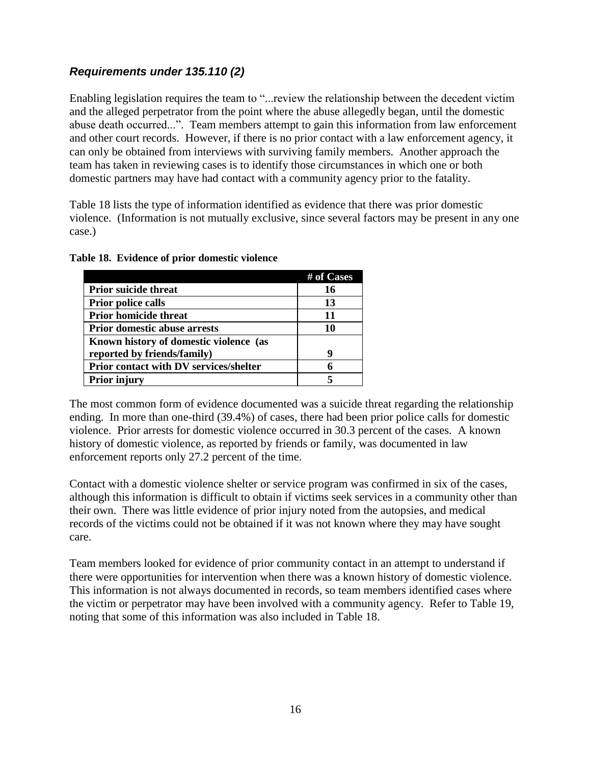# *Requirements under 135.110 (2)*

Enabling legislation requires the team to "...review the relationship between the decedent victim and the alleged perpetrator from the point where the abuse allegedly began, until the domestic abuse death occurred...". Team members attempt to gain this information from law enforcement and other court records. However, if there is no prior contact with a law enforcement agency, it can only be obtained from interviews with surviving family members. Another approach the team has taken in reviewing cases is to identify those circumstances in which one or both domestic partners may have had contact with a community agency prior to the fatality.

Table 18 lists the type of information identified as evidence that there was prior domestic violence. (Information is not mutually exclusive, since several factors may be present in any one case.)

|                                               | # of Cases |
|-----------------------------------------------|------------|
| <b>Prior suicide threat</b>                   | 16         |
| <b>Prior police calls</b>                     | 13         |
| Prior homicide threat                         | 11         |
| <b>Prior domestic abuse arrests</b>           | 10         |
| Known history of domestic violence (as        |            |
| reported by friends/family)                   | q          |
| <b>Prior contact with DV services/shelter</b> | 6          |
| <b>Prior injury</b>                           |            |

#### **Table 18. Evidence of prior domestic violence**

The most common form of evidence documented was a suicide threat regarding the relationship ending. In more than one-third (39.4%) of cases, there had been prior police calls for domestic violence. Prior arrests for domestic violence occurred in 30.3 percent of the cases. A known history of domestic violence, as reported by friends or family, was documented in law enforcement reports only 27.2 percent of the time.

Contact with a domestic violence shelter or service program was confirmed in six of the cases, although this information is difficult to obtain if victims seek services in a community other than their own. There was little evidence of prior injury noted from the autopsies, and medical records of the victims could not be obtained if it was not known where they may have sought care.

Team members looked for evidence of prior community contact in an attempt to understand if there were opportunities for intervention when there was a known history of domestic violence. This information is not always documented in records, so team members identified cases where the victim or perpetrator may have been involved with a community agency. Refer to Table 19, noting that some of this information was also included in Table 18.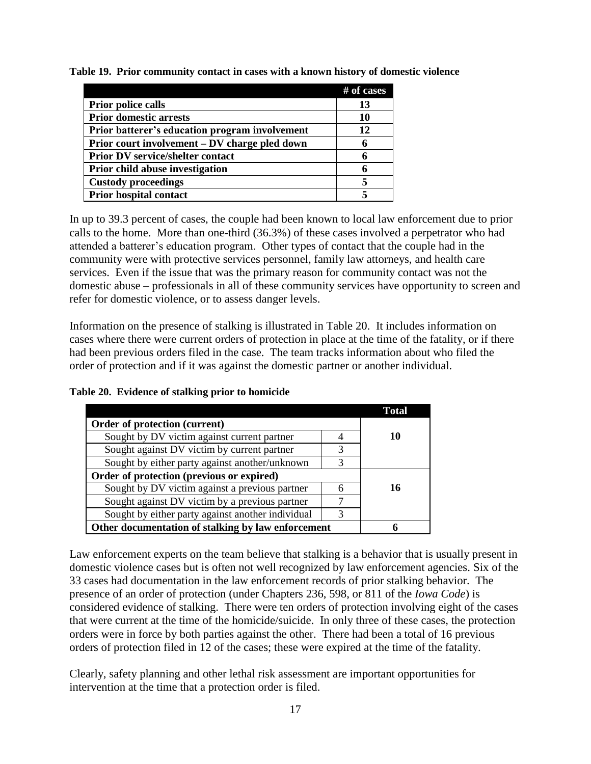|  | Table 19. Prior community contact in cases with a known history of domestic violence |  |  |  |  |  |
|--|--------------------------------------------------------------------------------------|--|--|--|--|--|
|  |                                                                                      |  |  |  |  |  |

|                                                | # of cases |
|------------------------------------------------|------------|
| <b>Prior police calls</b>                      | 13         |
| <b>Prior domestic arrests</b>                  | 10         |
| Prior batterer's education program involvement | 12         |
| Prior court involvement – DV charge pled down  | 6          |
| <b>Prior DV service/shelter contact</b>        | 6          |
| <b>Prior child abuse investigation</b>         | 6          |
| <b>Custody proceedings</b>                     | 5          |
| <b>Prior hospital contact</b>                  |            |

In up to 39.3 percent of cases, the couple had been known to local law enforcement due to prior calls to the home. More than one-third (36.3%) of these cases involved a perpetrator who had attended a batterer's education program. Other types of contact that the couple had in the community were with protective services personnel, family law attorneys, and health care services. Even if the issue that was the primary reason for community contact was not the domestic abuse – professionals in all of these community services have opportunity to screen and refer for domestic violence, or to assess danger levels.

Information on the presence of stalking is illustrated in Table 20. It includes information on cases where there were current orders of protection in place at the time of the fatality, or if there had been previous orders filed in the case. The team tracks information about who filed the order of protection and if it was against the domestic partner or another individual.

|  |  | Table 20. Evidence of stalking prior to homicide |
|--|--|--------------------------------------------------|
|  |  |                                                  |

|                                                    |   | Total |
|----------------------------------------------------|---|-------|
| Order of protection (current)                      |   |       |
| Sought by DV victim against current partner        |   | 10    |
| Sought against DV victim by current partner        | 3 |       |
| Sought by either party against another/unknown     | 3 |       |
| Order of protection (previous or expired)          |   |       |
| Sought by DV victim against a previous partner     | 6 | 16    |
| Sought against DV victim by a previous partner     |   |       |
| Sought by either party against another individual  | 3 |       |
| Other documentation of stalking by law enforcement |   |       |

Law enforcement experts on the team believe that stalking is a behavior that is usually present in domestic violence cases but is often not well recognized by law enforcement agencies. Six of the 33 cases had documentation in the law enforcement records of prior stalking behavior. The presence of an order of protection (under Chapters 236, 598, or 811 of the *Iowa Code*) is considered evidence of stalking. There were ten orders of protection involving eight of the cases that were current at the time of the homicide/suicide. In only three of these cases, the protection orders were in force by both parties against the other. There had been a total of 16 previous orders of protection filed in 12 of the cases; these were expired at the time of the fatality.

Clearly, safety planning and other lethal risk assessment are important opportunities for intervention at the time that a protection order is filed.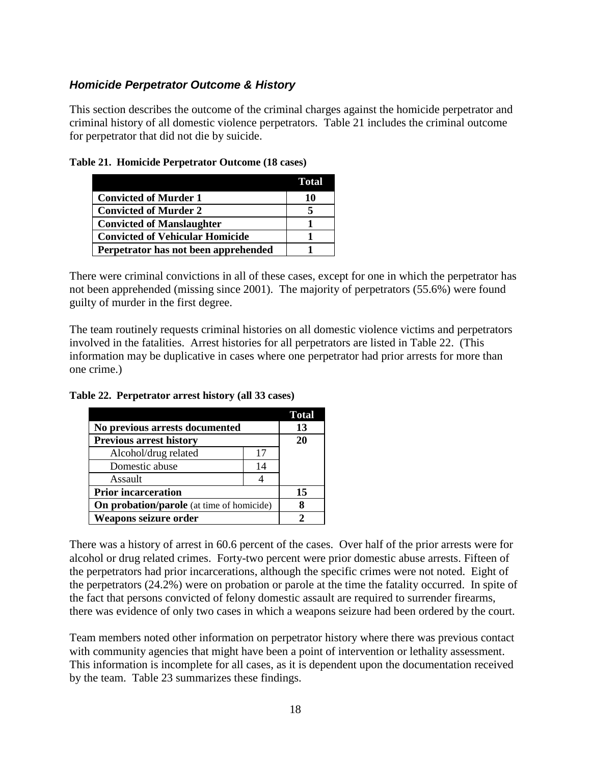#### *Homicide Perpetrator Outcome & History*

This section describes the outcome of the criminal charges against the homicide perpetrator and criminal history of all domestic violence perpetrators. Table 21 includes the criminal outcome for perpetrator that did not die by suicide.

|                                        | Total |
|----------------------------------------|-------|
| Convicted of Murder 1                  | 10    |
| <b>Convicted of Murder 2</b>           |       |
| <b>Convicted of Manslaughter</b>       |       |
| <b>Convicted of Vehicular Homicide</b> |       |
| Perpetrator has not been apprehended   |       |

|  | Table 21. Homicide Perpetrator Outcome (18 cases) |  |
|--|---------------------------------------------------|--|
|  |                                                   |  |

There were criminal convictions in all of these cases, except for one in which the perpetrator has not been apprehended (missing since 2001). The majority of perpetrators (55.6%) were found guilty of murder in the first degree.

The team routinely requests criminal histories on all domestic violence victims and perpetrators involved in the fatalities. Arrest histories for all perpetrators are listed in Table 22. (This information may be duplicative in cases where one perpetrator had prior arrests for more than one crime.)

|                                           |    | <b>Total</b> |
|-------------------------------------------|----|--------------|
| No previous arrests documented            |    | 13           |
| <b>Previous arrest history</b>            |    | 20           |
| Alcohol/drug related                      | 17 |              |
| Domestic abuse                            | 14 |              |
| Assault                                   |    |              |
| <b>Prior incarceration</b>                |    | 15           |
| On probation/parole (at time of homicide) |    |              |
| Weapons seizure order                     |    |              |

**Table 22. Perpetrator arrest history (all 33 cases)**

There was a history of arrest in 60.6 percent of the cases. Over half of the prior arrests were for alcohol or drug related crimes. Forty-two percent were prior domestic abuse arrests. Fifteen of the perpetrators had prior incarcerations, although the specific crimes were not noted. Eight of the perpetrators (24.2%) were on probation or parole at the time the fatality occurred. In spite of the fact that persons convicted of felony domestic assault are required to surrender firearms, there was evidence of only two cases in which a weapons seizure had been ordered by the court.

Team members noted other information on perpetrator history where there was previous contact with community agencies that might have been a point of intervention or lethality assessment. This information is incomplete for all cases, as it is dependent upon the documentation received by the team. Table 23 summarizes these findings.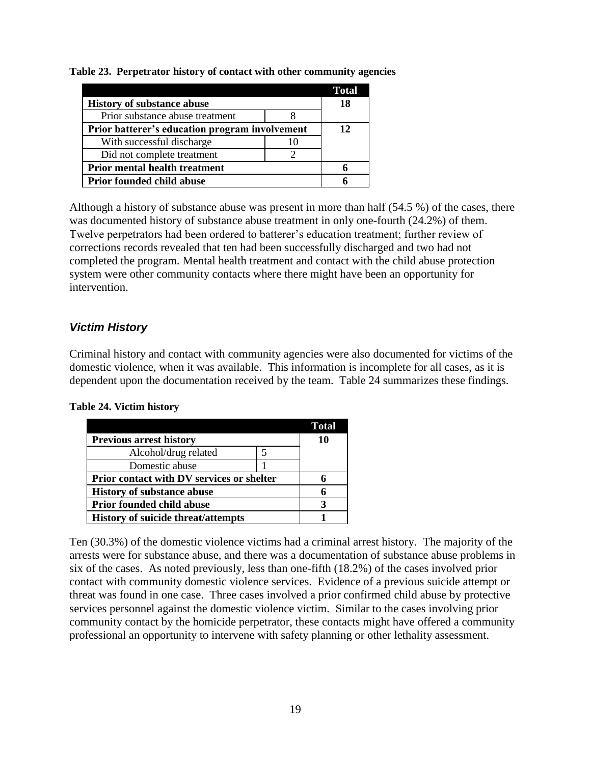**Table 23. Perpetrator history of contact with other community agencies**

|                                                |    | <b>Total</b> |
|------------------------------------------------|----|--------------|
| <b>History of substance abuse</b>              |    | 18           |
| Prior substance abuse treatment                |    |              |
| Prior batterer's education program involvement | 12 |              |
| With successful discharge                      |    |              |
| Did not complete treatment                     |    |              |
| <b>Prior mental health treatment</b>           |    |              |
| <b>Prior founded child abuse</b>               |    |              |

Although a history of substance abuse was present in more than half (54.5 %) of the cases, there was documented history of substance abuse treatment in only one-fourth (24.2%) of them. Twelve perpetrators had been ordered to batterer's education treatment; further review of corrections records revealed that ten had been successfully discharged and two had not completed the program. Mental health treatment and contact with the child abuse protection system were other community contacts where there might have been an opportunity for intervention.

#### *Victim History*

Criminal history and contact with community agencies were also documented for victims of the domestic violence, when it was available. This information is incomplete for all cases, as it is dependent upon the documentation received by the team. Table 24 summarizes these findings.

#### **Table 24. Victim history**

|                                           |  | Total |
|-------------------------------------------|--|-------|
| <b>Previous arrest history</b>            |  | 10    |
| Alcohol/drug related                      |  |       |
| Domestic abuse                            |  |       |
| Prior contact with DV services or shelter |  |       |
| <b>History of substance abuse</b>         |  |       |
| <b>Prior founded child abuse</b>          |  |       |
| <b>History of suicide threat/attempts</b> |  |       |

Ten (30.3%) of the domestic violence victims had a criminal arrest history. The majority of the arrests were for substance abuse, and there was a documentation of substance abuse problems in six of the cases. As noted previously, less than one-fifth (18.2%) of the cases involved prior contact with community domestic violence services. Evidence of a previous suicide attempt or threat was found in one case. Three cases involved a prior confirmed child abuse by protective services personnel against the domestic violence victim. Similar to the cases involving prior community contact by the homicide perpetrator, these contacts might have offered a community professional an opportunity to intervene with safety planning or other lethality assessment.